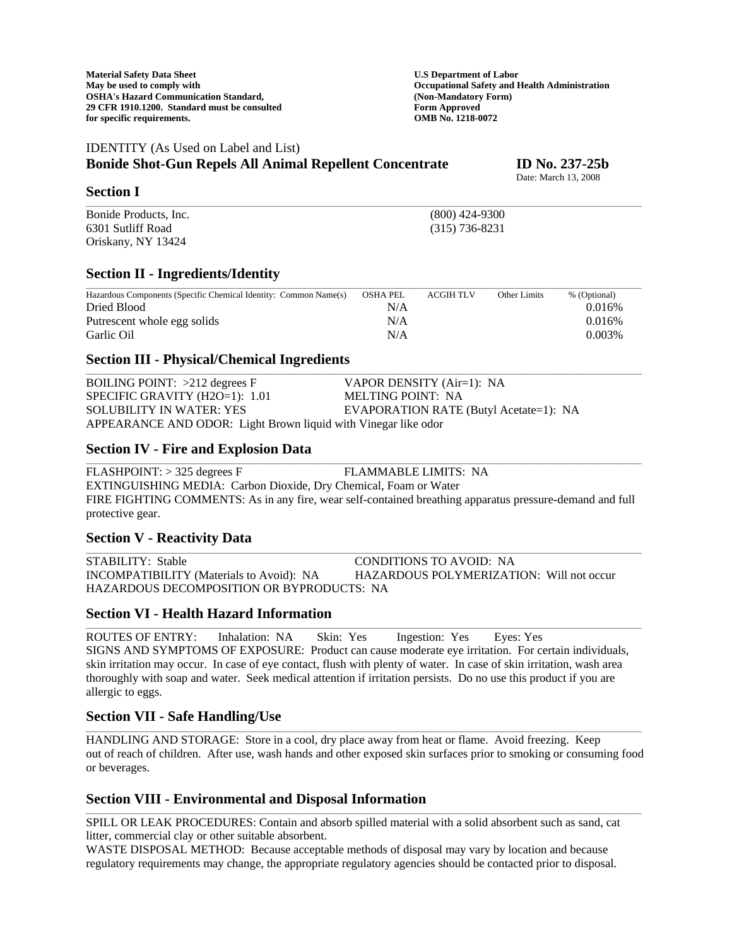# IDENTITY (As Used on Label and List)

# **Bonide Shot-Gun Repels All Animal Repellent Concentrate ID No. 237-25b**

**Section I** 

Bonide Products, Inc. (800) 424-9300 6301 Sutliff Road (315) 736-8231 Oriskany, NY 13424

### **Section II - Ingredients/Identity**

| Hazardous Components (Specific Chemical Identity: Common Name(s) | <b>OSHA PEL</b> | <b>ACGIH TLV</b> | Other Limits | % (Optional) |
|------------------------------------------------------------------|-----------------|------------------|--------------|--------------|
| Dried Blood                                                      | N/A             |                  |              | 0.016%       |
| Put rescent whole egg solids                                     | N/A             |                  |              | 0.016%       |
| Garlic Oil                                                       | N/A             |                  |              | 0.003%       |

\_\_\_\_\_\_\_\_\_\_\_\_\_\_\_\_\_\_\_\_\_\_\_\_\_\_\_\_\_\_\_\_\_\_\_\_\_\_\_\_\_\_\_\_\_\_\_\_\_\_\_\_\_\_\_\_\_\_\_\_\_\_\_\_\_\_\_\_\_\_\_\_\_\_\_\_\_\_\_\_\_\_\_\_\_\_\_\_\_\_\_\_\_\_\_\_\_\_\_\_\_\_\_\_\_\_\_\_\_\_\_\_\_\_\_\_\_\_\_\_\_\_\_\_\_\_\_\_\_\_\_\_\_\_\_\_\_\_\_\_\_\_\_\_\_\_\_\_\_\_\_\_\_\_\_

\_\_\_\_\_\_\_\_\_\_\_\_\_\_\_\_\_\_\_\_\_\_\_\_\_\_\_\_\_\_\_\_\_\_\_\_\_\_\_\_\_\_\_\_\_\_\_\_\_\_\_\_\_\_\_\_\_\_\_\_\_\_\_\_\_\_\_\_\_\_\_\_\_\_\_\_\_\_\_\_\_\_\_\_\_\_\_\_\_\_\_\_\_\_\_\_\_\_\_\_\_\_\_\_\_\_\_\_\_\_\_\_\_\_\_\_\_\_\_\_\_\_\_\_\_\_\_\_\_\_\_\_\_\_\_\_\_\_\_\_\_\_\_\_\_\_\_\_\_\_\_\_\_\_\_

#### **Section III - Physical/Chemical Ingredients**

BOILING POINT: >212 degrees F VAPOR DENSITY (Air=1): NA SPECIFIC GRAVITY (H2O=1): 1.01 MELTING POINT: NA SOLUBILITY IN WATER: YES EVAPORATION RATE (Butyl Acetate=1): NA APPEARANCE AND ODOR: Light Brown liquid with Vinegar like odor

### **Section IV - Fire and Explosion Data**

FLASHPOINT: > 325 degrees F FLAMMABLE LIMITS: NA EXTINGUISHING MEDIA: Carbon Dioxide, Dry Chemical, Foam or Water FIRE FIGHTING COMMENTS: As in any fire, wear self-contained breathing apparatus pressure-demand and full protective gear.

\_\_\_\_\_\_\_\_\_\_\_\_\_\_\_\_\_\_\_\_\_\_\_\_\_\_\_\_\_\_\_\_\_\_\_\_\_\_\_\_\_\_\_\_\_\_\_\_\_\_\_\_\_\_\_\_\_\_\_\_\_\_\_\_\_\_\_\_\_\_\_\_\_\_\_\_\_\_\_\_\_\_\_\_\_\_\_\_\_\_\_\_\_\_\_\_\_\_\_\_\_\_\_\_\_\_\_\_\_\_\_\_\_\_\_\_\_\_\_\_\_\_\_\_\_\_\_\_\_\_\_\_\_\_\_\_\_\_\_\_\_\_\_\_\_\_\_\_\_\_\_\_\_\_\_

### **Section V - Reactivity Data**

STABILITY: Stable CONDITIONS TO AVOID: NA INCOMPATIBILITY (Materials to Avoid): NA HAZARDOUS POLYMERIZATION: Will not occur HAZARDOUS DECOMPOSITION OR BYPRODUCTS: NA

### **Section VI - Health Hazard Information**

ROUTES OF ENTRY: Inhalation: NA Skin: Yes Ingestion: Yes Eyes: Yes SIGNS AND SYMPTOMS OF EXPOSURE: Product can cause moderate eye irritation. For certain individuals, skin irritation may occur. In case of eye contact, flush with plenty of water. In case of skin irritation, wash area thoroughly with soap and water. Seek medical attention if irritation persists. Do no use this product if you are allergic to eggs.

\_\_\_\_\_\_\_\_\_\_\_\_\_\_\_\_\_\_\_\_\_\_\_\_\_\_\_\_\_\_\_\_\_\_\_\_\_\_\_\_\_\_\_\_\_\_\_\_\_\_\_\_\_\_\_\_\_\_\_\_\_\_\_\_\_\_\_\_\_\_\_\_\_\_\_\_\_\_\_\_\_\_\_\_\_\_\_\_\_\_\_\_\_\_\_\_\_\_\_\_\_\_\_\_\_\_\_\_\_\_\_\_\_\_\_\_\_\_\_\_\_\_\_\_\_\_\_\_\_\_\_\_\_\_\_\_\_\_\_\_\_\_\_\_\_\_\_\_\_\_\_\_\_\_\_

### **Section VII - Safe Handling/Use**

HANDLING AND STORAGE: Store in a cool, dry place away from heat or flame. Avoid freezing. Keep out of reach of children. After use, wash hands and other exposed skin surfaces prior to smoking or consuming food or beverages.

\_\_\_\_\_\_\_\_\_\_\_\_\_\_\_\_\_\_\_\_\_\_\_\_\_\_\_\_\_\_\_\_\_\_\_\_\_\_\_\_\_\_\_\_\_\_\_\_\_\_\_\_\_\_\_\_\_\_\_\_\_\_\_\_\_\_\_\_\_\_\_\_\_\_\_\_\_\_\_\_\_\_\_\_\_\_\_\_\_\_\_\_\_\_\_\_\_\_\_\_\_\_\_\_\_\_\_\_\_\_\_\_\_\_\_\_\_\_\_\_\_\_\_\_\_\_\_\_\_\_\_\_\_\_\_\_\_\_\_\_\_\_\_\_\_\_\_\_\_\_\_\_\_\_\_

\_\_\_\_\_\_\_\_\_\_\_\_\_\_\_\_\_\_\_\_\_\_\_\_\_\_\_\_\_\_\_\_\_\_\_\_\_\_\_\_\_\_\_\_\_\_\_\_\_\_\_\_\_\_\_\_\_\_\_\_\_\_\_\_\_\_\_\_\_\_\_\_\_\_\_\_\_\_\_\_\_\_\_\_\_\_\_\_\_\_\_\_\_\_\_\_\_\_\_\_\_\_\_\_\_\_\_\_\_\_\_\_\_\_\_\_\_\_\_\_\_\_\_\_\_\_\_\_\_\_\_\_\_\_\_\_\_\_\_\_\_\_\_\_\_\_\_\_\_\_\_\_\_\_\_

### **Section VIII - Environmental and Disposal Information**

SPILL OR LEAK PROCEDURES: Contain and absorb spilled material with a solid absorbent such as sand, cat litter, commercial clay or other suitable absorbent.

WASTE DISPOSAL METHOD: Because acceptable methods of disposal may vary by location and because regulatory requirements may change, the appropriate regulatory agencies should be contacted prior to disposal.

Date: March 13, 2008

\_\_\_\_\_\_\_\_\_\_\_\_\_\_\_\_\_\_\_\_\_\_\_\_\_\_\_\_\_\_\_\_\_\_\_\_\_\_\_\_\_\_\_\_\_\_\_\_\_\_\_\_\_\_\_\_\_\_\_\_\_\_\_\_\_\_\_\_\_\_\_\_\_\_\_\_\_\_\_\_\_\_\_\_\_\_\_\_\_\_\_\_\_\_\_\_\_\_\_\_\_\_\_\_\_\_\_\_\_\_\_\_\_\_\_\_\_\_\_\_\_\_\_\_\_\_\_\_\_\_\_\_\_\_\_\_\_\_\_\_\_\_\_\_\_\_\_\_\_\_\_\_\_\_\_